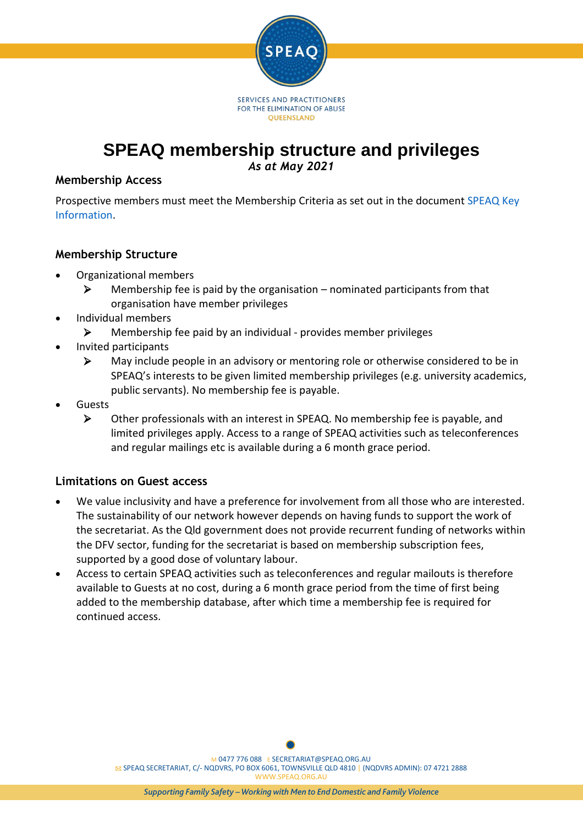

# **SPEAQ membership structure and privileges**

*As at May 2021*

#### **Membership Access**

Prospective members must meet the Membership Criteria as set out in the document [SPEAQ Key](https://speaq.org.au/get-involved/membership-info/attachment/speaq-key-information/)  [Information.](https://speaq.org.au/get-involved/membership-info/attachment/speaq-key-information/)

#### **Membership Structure**

- Organizational members
	- $\triangleright$  Membership fee is paid by the organisation nominated participants from that organisation have member privileges
- Individual members
	- $\triangleright$  Membership fee paid by an individual provides member privileges
- Invited participants
	- $\triangleright$  May include people in an advisory or mentoring role or otherwise considered to be in SPEAQ's interests to be given limited membership privileges (e.g. university academics, public servants). No membership fee is payable.
- Guests
	- $\triangleright$  Other professionals with an interest in SPEAQ. No membership fee is payable, and limited privileges apply. Access to a range of SPEAQ activities such as teleconferences and regular mailings etc is available during a 6 month grace period.

## **Limitations on Guest access**

- We value inclusivity and have a preference for involvement from all those who are interested. The sustainability of our network however depends on having funds to support the work of the secretariat. As the Qld government does not provide recurrent funding of networks within the DFV sector, funding for the secretariat is based on membership subscription fees, supported by a good dose of voluntary labour.
- Access to certain SPEAQ activities such as teleconferences and regular mailouts is therefore available to Guests at no cost, during a 6 month grace period from the time of first being added to the membership database, after which time a membership fee is required for continued access.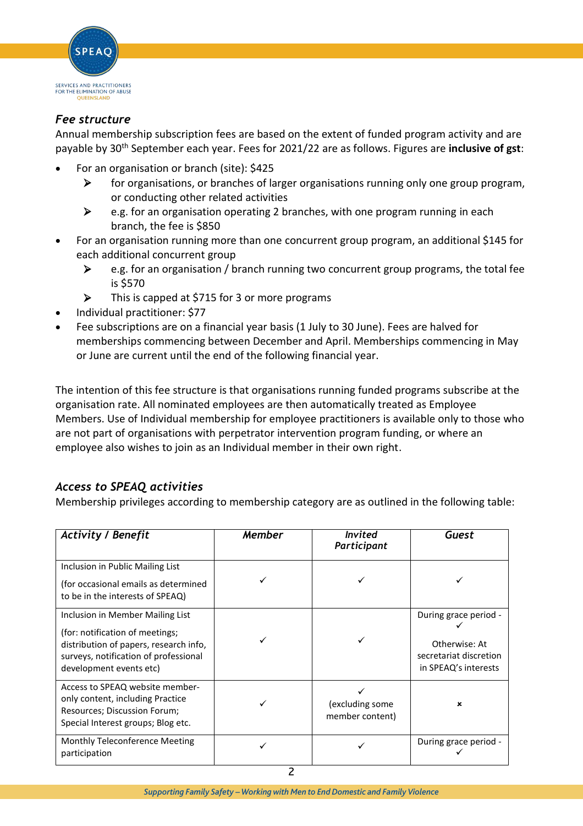

## *Fee structure*

Annual membership subscription fees are based on the extent of funded program activity and are payable by 30th September each year. Fees for 2021/22 are as follows. Figures are **inclusive of gst**:

- For an organisation or branch (site): \$425
	- for organisations, or branches of larger organisations running only one group program, or conducting other related activities
	- $\triangleright$  e.g. for an organisation operating 2 branches, with one program running in each branch, the fee is \$850
- For an organisation running more than one concurrent group program, an additional \$145 for each additional concurrent group
	- $\triangleright$  e.g. for an organisation / branch running two concurrent group programs, the total fee is \$570
	- This is capped at \$715 for 3 or more programs
- Individual practitioner: \$77
- Fee subscriptions are on a financial year basis (1 July to 30 June). Fees are halved for memberships commencing between December and April. Memberships commencing in May or June are current until the end of the following financial year.

The intention of this fee structure is that organisations running funded programs subscribe at the organisation rate. All nominated employees are then automatically treated as Employee Members. Use of Individual membership for employee practitioners is available only to those who are not part of organisations with perpetrator intervention program funding, or where an employee also wishes to join as an Individual member in their own right.

## *Access to SPEAQ activities*

Membership privileges according to membership category are as outlined in the following table:

| <b>Activity / Benefit</b>                                                                                                                                                         | <b>Member</b> | <b>Invited</b><br>Participant      | Guest                                                                                    |
|-----------------------------------------------------------------------------------------------------------------------------------------------------------------------------------|---------------|------------------------------------|------------------------------------------------------------------------------------------|
| Inclusion in Public Mailing List<br>(for occasional emails as determined<br>to be in the interests of SPEAQ)                                                                      |               |                                    |                                                                                          |
| Inclusion in Member Mailing List<br>(for: notification of meetings;<br>distribution of papers, research info,<br>surveys, notification of professional<br>development events etc) |               |                                    | During grace period -<br>Otherwise: At<br>secretariat discretion<br>in SPEAQ's interests |
| Access to SPEAQ website member-<br>only content, including Practice<br>Resources; Discussion Forum;<br>Special Interest groups; Blog etc.                                         |               | (excluding some<br>member content) | $\mathbf x$                                                                              |
| Monthly Teleconference Meeting<br>participation                                                                                                                                   |               |                                    | During grace period -                                                                    |